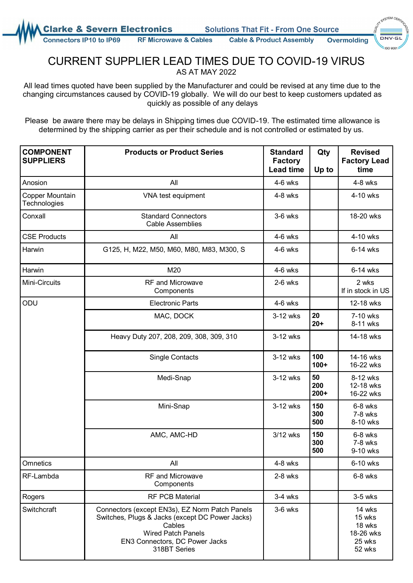**arke & Severn Electronics** 

**Solutions That Fit - From One Source** 

**Connectors IP10 to IP69 RF Microwave & Cables** 

**Cable & Product Assembly Overmolding** 

SYSTEM CEA  $\sin 900$ 

## CURRENT SUPPLIER LEAD TIMES DUE TO COVID-19 VIRUS AS AT MAY 2022

All lead times quoted have been supplied by the Manufacturer and could be revised at any time due to the changing circumstances caused by COVID-19 globally. We will do our best to keep customers updated as quickly as possible of any delays

Please be aware there may be delays in Shipping times due COVID-19. The estimated time allowance is determined by the shipping carrier as per their schedule and is not controlled or estimated by us.

| <b>COMPONENT</b><br><b>SUPPLIERS</b> | <b>Products or Product Series</b>                                                                                                                                                          | <b>Standard</b><br><b>Factory</b><br><b>Lead time</b> | Qty<br>Up to        | <b>Revised</b><br><b>Factory Lead</b><br>time               |
|--------------------------------------|--------------------------------------------------------------------------------------------------------------------------------------------------------------------------------------------|-------------------------------------------------------|---------------------|-------------------------------------------------------------|
| Anosion                              | All                                                                                                                                                                                        | $4-6$ wks                                             |                     | $4-8$ wks                                                   |
| Copper Mountain<br>Technologies      | VNA test equipment                                                                                                                                                                         | $4-8$ wks                                             |                     | 4-10 wks                                                    |
| Conxall                              | <b>Standard Connectors</b><br><b>Cable Assemblies</b>                                                                                                                                      | $3-6$ wks                                             |                     | 18-20 wks                                                   |
| <b>CSE Products</b>                  | All                                                                                                                                                                                        | $4-6$ wks                                             |                     | 4-10 wks                                                    |
| Harwin                               | G125, H, M22, M50, M60, M80, M83, M300, S                                                                                                                                                  | $4-6$ wks                                             |                     | 6-14 wks                                                    |
| Harwin                               | M20                                                                                                                                                                                        | $4-6$ wks                                             |                     | 6-14 wks                                                    |
| Mini-Circuits                        | <b>RF</b> and Microwave<br>Components                                                                                                                                                      | $2-6$ wks                                             |                     | 2 wks<br>If in stock in US                                  |
| ODU                                  | <b>Electronic Parts</b>                                                                                                                                                                    | $4-6$ wks                                             |                     | 12-18 wks                                                   |
|                                      | MAC, DOCK                                                                                                                                                                                  | 3-12 wks                                              | 20<br>$20+$         | 7-10 wks<br>8-11 wks                                        |
|                                      | Heavy Duty 207, 208, 209, 308, 309, 310                                                                                                                                                    | 3-12 wks                                              |                     | 14-18 wks                                                   |
|                                      | <b>Single Contacts</b>                                                                                                                                                                     | 3-12 wks                                              | 100<br>$100+$       | 14-16 wks<br>16-22 wks                                      |
|                                      | Medi-Snap                                                                                                                                                                                  | 3-12 wks                                              | 50<br>200<br>$200+$ | 8-12 wks<br>12-18 wks<br>16-22 wks                          |
|                                      | Mini-Snap                                                                                                                                                                                  | 3-12 wks                                              | 150<br>300<br>500   | 6-8 wks<br>7-8 wks<br>8-10 wks                              |
|                                      | AMC, AMC-HD                                                                                                                                                                                | 3/12 wks                                              | 150<br>300<br>500   | 6-8 wks<br>7-8 wks<br>9-10 wks                              |
| Omnetics                             | All                                                                                                                                                                                        | $4-8$ wks                                             |                     | 6-10 wks                                                    |
| RF-Lambda                            | <b>RF</b> and Microwave<br>Components                                                                                                                                                      | $2-8$ wks                                             |                     | 6-8 wks                                                     |
| Rogers                               | <b>RF PCB Material</b>                                                                                                                                                                     | $3-4$ wks                                             |                     | $3-5$ wks                                                   |
| Switchcraft                          | Connectors (except EN3s), EZ Norm Patch Panels<br>Switches, Plugs & Jacks (except DC Power Jacks)<br>Cables<br><b>Wired Patch Panels</b><br>EN3 Connectors, DC Power Jacks<br>318BT Series | 3-6 wks                                               |                     | 14 wks<br>15 wks<br>18 wks<br>18-26 wks<br>25 wks<br>52 wks |